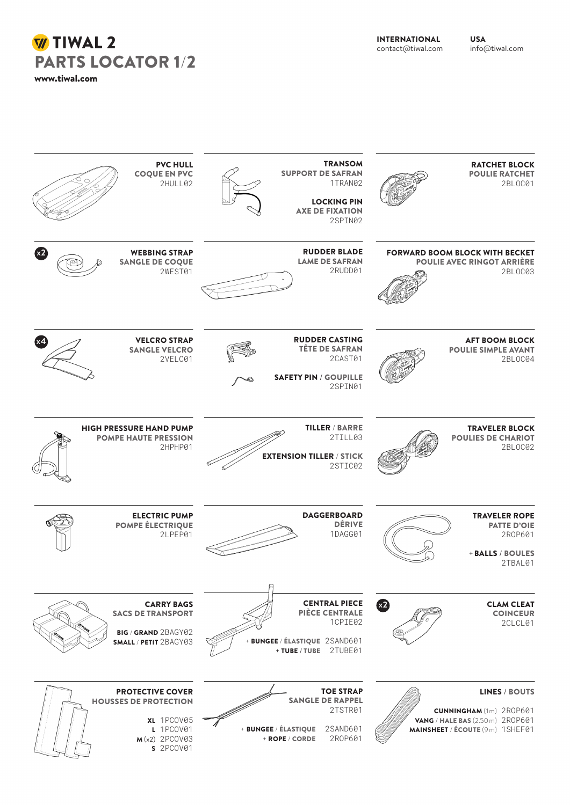INTERNATIONAL contact@tiwal.com USA info@tiwal.com

## **W** TIWAL 2 PARTS LOCATOR 1/2 www.tiwal.com

| <b>RATCHET BLOCK</b><br><b>POULIE RATCHET</b><br>2BL0C01                                                                             | <b>TRANSOM</b><br><b>SUPPORT DE SAFRAN</b><br>1TRAN02<br><b>LOCKING PIN</b><br><b>AXE DE FIXATION</b><br>2SPIN02        | <b>PVC HULL</b><br><b>COQUE EN PVC</b><br>2HULL02                                                                  |
|--------------------------------------------------------------------------------------------------------------------------------------|-------------------------------------------------------------------------------------------------------------------------|--------------------------------------------------------------------------------------------------------------------|
| <b>FORWARD BOOM BLOCK WITH BECKET</b><br><b>POULIE AVEC RINGOT ARRIÈRE</b><br>2BLOC03                                                | <b>RUDDER BLADE</b><br><b>LAME DE SAFRAN</b><br>2RUDD01                                                                 | x2<br><b>WEBBING STRAP</b><br><b>SANGLE DE COQUE</b><br>2WEST01                                                    |
| <b>AFT BOOM BLOCK</b><br><b>POULIE SIMPLE AVANT</b><br>2BLOC04                                                                       | <b>RUDDER CASTING</b><br><b>TÊTE DE SAFRAN</b><br>2CAST01<br><b>SAFETY PIN / GOUPILLE</b><br>2SPIN01                    | (x4<br><b>VELCRO STRAP</b><br><b>SANGLE VELCRO</b><br>2VELC01                                                      |
| <b>TRAVELER BLOCK</b><br><b>POULIES DE CHARIOT</b><br>2BL0C02                                                                        | <b>TILLER / BARRE</b><br>2TILL03<br><b>EXTENSION TILLER / STICK</b><br>2STIC02                                          | <b>HIGH PRESSURE HAND PUMP</b><br><b>POMPE HAUTE PRESSION</b><br>2HPHP01                                           |
| <b>TRAVELER ROPE</b><br><b>PATTE D'OIE</b><br>2R0P601<br>+ BALLS / BOULES<br>2TBAL01                                                 | <b>DAGGERBOARD</b><br><b>DÉRIVE</b><br>1DAGG01                                                                          | <b>ELECTRIC PUMP</b><br><b>POMPE ÉLECTRIQUE</b><br>2LPEP01                                                         |
| x <sub>2</sub><br><b>CLAM CLEAT</b><br><b>COINCEUR</b><br>2CLCL01                                                                    | <b>CENTRAL PIECE</b><br><b>PIÈCE CENTRALE</b><br>1CPIE02<br>+ BUNGEE / ÉLASTIQUE 2SAND601<br>+ TUBE / TUBE 2TUBE01      | <b>CARRY BAGS</b><br><b>SACS DE TRANSPORT</b><br>BIG / GRAND 2BAGY02<br>SMALL / PETIT 2BAGY03                      |
| <b>LINES / BOUTS</b><br><b>CUNNINGHAM</b> (1m) 2R0P601<br><b>VANG / HALE BAS (2.50 m) 2R0P601</b><br>MAINSHEET / ÉCOUTE (9m) 1SHEF01 | <b>TOE STRAP</b><br><b>SANGLE DE RAPPEL</b><br>2TSTR01<br>+ BUNGEE / ÉLASTIQUE<br>2SAND601<br>2R0P601<br>+ ROPE / CORDE | <b>PROTECTIVE COVER</b><br><b>HOUSSES DE PROTECTION</b><br>XL 1PCOV05<br>L 1PCOV01<br>$M(x2)$ 2PCOV03<br>s 2PCOV01 |